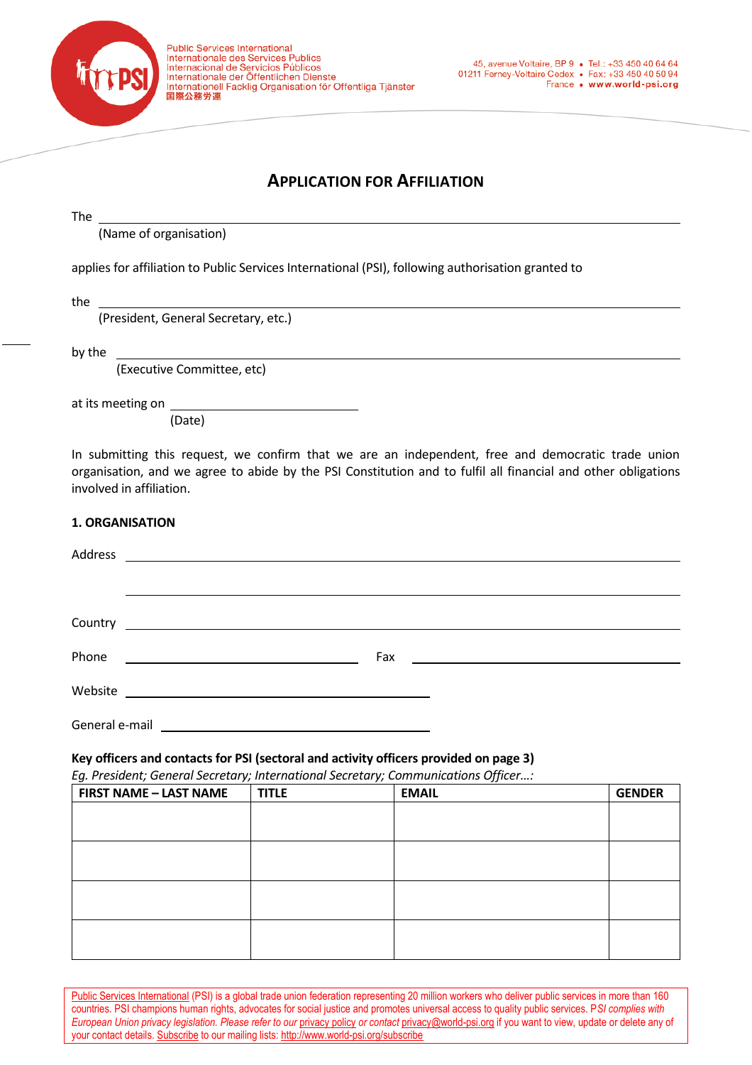

# **APPLICATION FOR AFFILIATION**

| v |
|---|
|---|

(Name of organisation)

applies for affiliation to Public Services International (PSI), following authorisation granted to

the

(President, General Secretary, etc.)

by the

(Executive Committee, etc)

at its meeting on

(Date)

In submitting this request, we confirm that we are an independent, free and democratic trade union organisation, and we agree to abide by the PSI Constitution and to fulfil all financial and other obligations involved in affiliation.

#### **1. ORGANISATION**

| Address |                                                                                                                             |  |
|---------|-----------------------------------------------------------------------------------------------------------------------------|--|
|         |                                                                                                                             |  |
|         |                                                                                                                             |  |
|         |                                                                                                                             |  |
|         |                                                                                                                             |  |
| Phone   | Fax<br><u> Liste de la construcción de la construcción de la construcción de la construcción de la construcción de la c</u> |  |
| Website | <u> 1989 - Johann Barnett, fransk politiker (d. 1989)</u>                                                                   |  |
|         |                                                                                                                             |  |

General e-mail \_\_\_\_\_

#### **Key officers and contacts for PSI (sectoral and activity officers provided on page 3)**

*Eg. President; General Secretary; International Secretary; Communications Officer…:*

| <b>FIRST NAME - LAST NAME</b> | <b>TITLE</b> | <b>EMAIL</b> | <b>GENDER</b> |
|-------------------------------|--------------|--------------|---------------|
|                               |              |              |               |
|                               |              |              |               |
|                               |              |              |               |
|                               |              |              |               |
|                               |              |              |               |
|                               |              |              |               |
|                               |              |              |               |
|                               |              |              |               |

[Public Services International](http://www.world-psi.org/) (PSI) is a global trade union federation representing 20 million workers who deliver public services in more than 160 countries. PSI champions human rights, advocates for social justice and promotes universal access to quality public services. P*SI complies with European Union [privacy](http://campaigns.world-psi.org/t/r-l-jjllpc-l-q/) legislation. Please refer to our <u>privacy policy</u> or contact [privacy@world-psi.org](mailto:privacy@world-psi.org) if you want to view, update or delete any of* your contact details[. Subscribe](http://www.world-psi.org/en/e-mail-news-subscriptions) to our mailing lists[: http://www.world-psi.org/subscribe](http://www.world-psi.org/subscribe)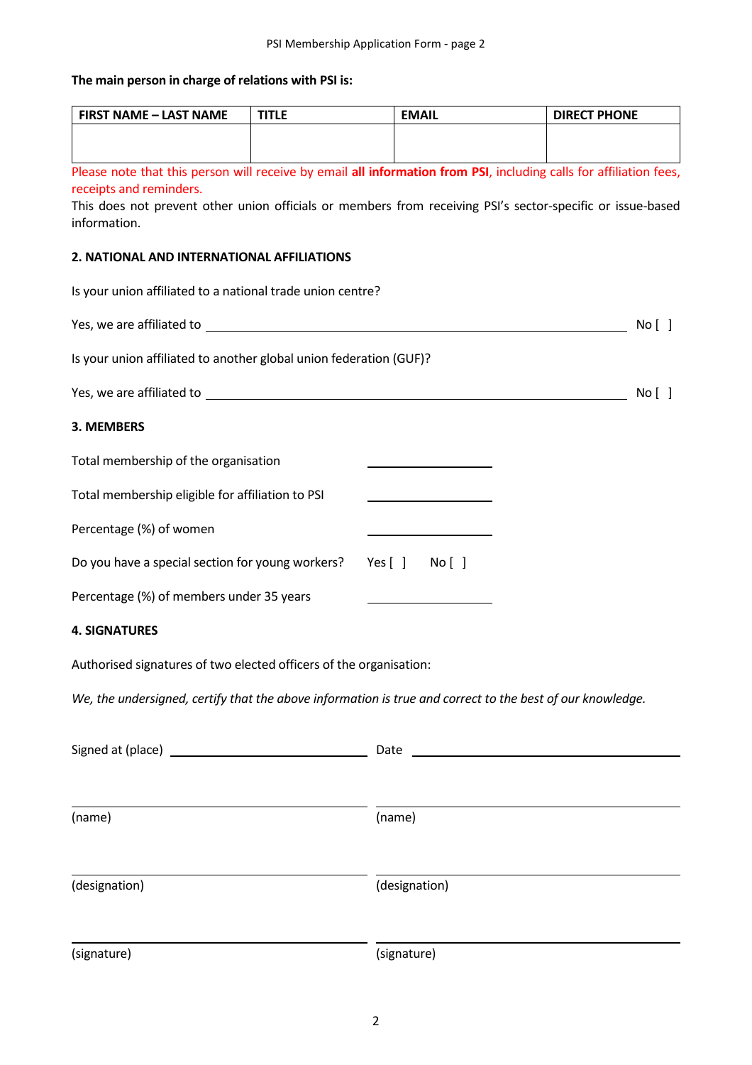# **The main person in charge of relations with PSI is:**

| <b>FIRST NAME - LAST NAME</b>                                                                                                                                                                                                                               | <b>TITLE</b> | <b>EMAIL</b>   | <b>DIRECT PHONE</b> |  |  |  |
|-------------------------------------------------------------------------------------------------------------------------------------------------------------------------------------------------------------------------------------------------------------|--------------|----------------|---------------------|--|--|--|
|                                                                                                                                                                                                                                                             |              |                |                     |  |  |  |
| Please note that this person will receive by email all information from PSI, including calls for affiliation fees,<br>receipts and reminders.<br>This does not prevent other union officials or members from receiving PSI's sector-specific or issue-based |              |                |                     |  |  |  |
| information.                                                                                                                                                                                                                                                |              |                |                     |  |  |  |
| 2. NATIONAL AND INTERNATIONAL AFFILIATIONS                                                                                                                                                                                                                  |              |                |                     |  |  |  |
| Is your union affiliated to a national trade union centre?                                                                                                                                                                                                  |              |                |                     |  |  |  |
|                                                                                                                                                                                                                                                             |              |                | No [ ]              |  |  |  |
| Is your union affiliated to another global union federation (GUF)?                                                                                                                                                                                          |              |                |                     |  |  |  |
|                                                                                                                                                                                                                                                             |              |                | No [ ]              |  |  |  |
| 3. MEMBERS                                                                                                                                                                                                                                                  |              |                |                     |  |  |  |
| Total membership of the organisation                                                                                                                                                                                                                        |              |                |                     |  |  |  |
| Total membership eligible for affiliation to PSI                                                                                                                                                                                                            |              |                |                     |  |  |  |
| Percentage (%) of women                                                                                                                                                                                                                                     |              |                |                     |  |  |  |
| Do you have a special section for young workers?                                                                                                                                                                                                            |              | Yes [ ] No [ ] |                     |  |  |  |
| Percentage (%) of members under 35 years                                                                                                                                                                                                                    |              |                |                     |  |  |  |
| <b>4. SIGNATURES</b>                                                                                                                                                                                                                                        |              |                |                     |  |  |  |
| Authorised signatures of two elected officers of the organisation:                                                                                                                                                                                          |              |                |                     |  |  |  |
| We, the undersigned, certify that the above information is true and correct to the best of our knowledge.                                                                                                                                                   |              |                |                     |  |  |  |
|                                                                                                                                                                                                                                                             |              |                |                     |  |  |  |
|                                                                                                                                                                                                                                                             |              |                |                     |  |  |  |
| (name)                                                                                                                                                                                                                                                      |              | (name)         |                     |  |  |  |
|                                                                                                                                                                                                                                                             |              |                |                     |  |  |  |
| (designation)                                                                                                                                                                                                                                               |              | (designation)  |                     |  |  |  |
| (signature)                                                                                                                                                                                                                                                 |              | (signature)    |                     |  |  |  |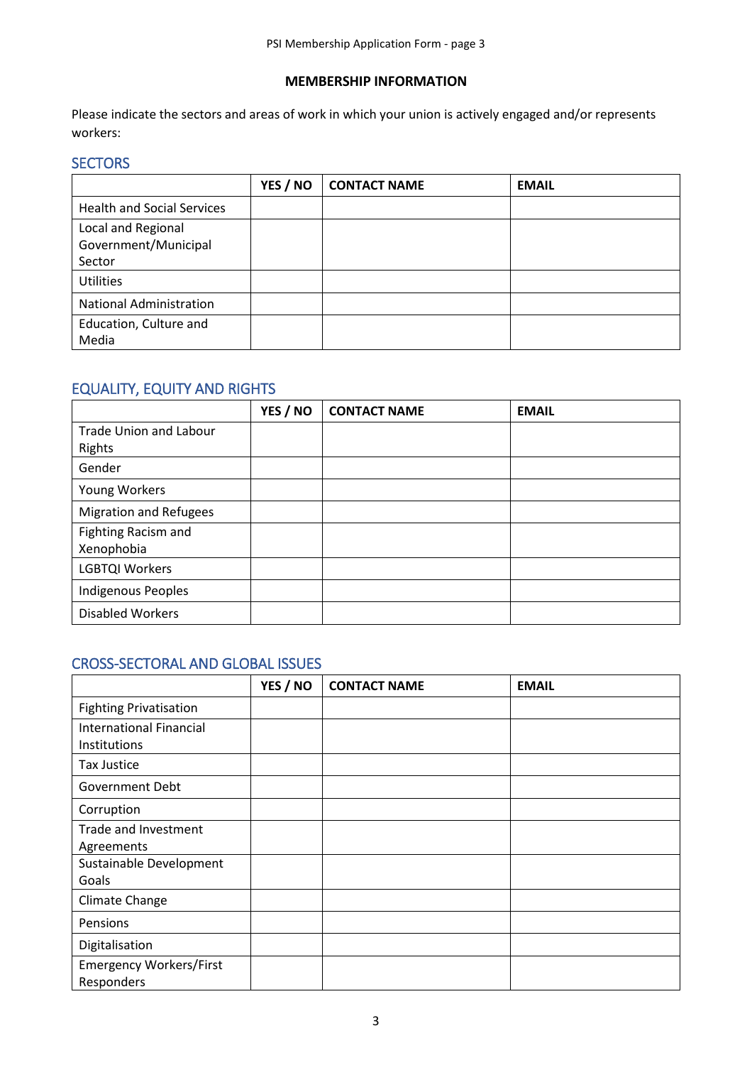### **MEMBERSHIP INFORMATION**

Please indicate the sectors and areas of work in which your union is actively engaged and/or represents workers:

# **SECTORS**

|                                            | YES / NO | <b>CONTACT NAME</b> | <b>EMAIL</b> |
|--------------------------------------------|----------|---------------------|--------------|
| <b>Health and Social Services</b>          |          |                     |              |
| Local and Regional<br>Government/Municipal |          |                     |              |
| Sector                                     |          |                     |              |
| <b>Utilities</b>                           |          |                     |              |
| <b>National Administration</b>             |          |                     |              |
| Education, Culture and                     |          |                     |              |
| Media                                      |          |                     |              |

# EQUALITY, EQUITY AND RIGHTS

|                                          | YES / NO | <b>CONTACT NAME</b> | <b>EMAIL</b> |
|------------------------------------------|----------|---------------------|--------------|
| <b>Trade Union and Labour</b><br>Rights  |          |                     |              |
| Gender                                   |          |                     |              |
| Young Workers                            |          |                     |              |
| <b>Migration and Refugees</b>            |          |                     |              |
| <b>Fighting Racism and</b><br>Xenophobia |          |                     |              |
| <b>LGBTQI Workers</b>                    |          |                     |              |
| Indigenous Peoples                       |          |                     |              |
| <b>Disabled Workers</b>                  |          |                     |              |

## CROSS-SECTORAL AND GLOBAL ISSUES

|                                              | YES / NO | <b>CONTACT NAME</b> | <b>EMAIL</b> |
|----------------------------------------------|----------|---------------------|--------------|
| <b>Fighting Privatisation</b>                |          |                     |              |
| International Financial<br>Institutions      |          |                     |              |
| <b>Tax Justice</b>                           |          |                     |              |
| <b>Government Debt</b>                       |          |                     |              |
| Corruption                                   |          |                     |              |
| Trade and Investment<br>Agreements           |          |                     |              |
| Sustainable Development<br>Goals             |          |                     |              |
| Climate Change                               |          |                     |              |
| Pensions                                     |          |                     |              |
| Digitalisation                               |          |                     |              |
| <b>Emergency Workers/First</b><br>Responders |          |                     |              |